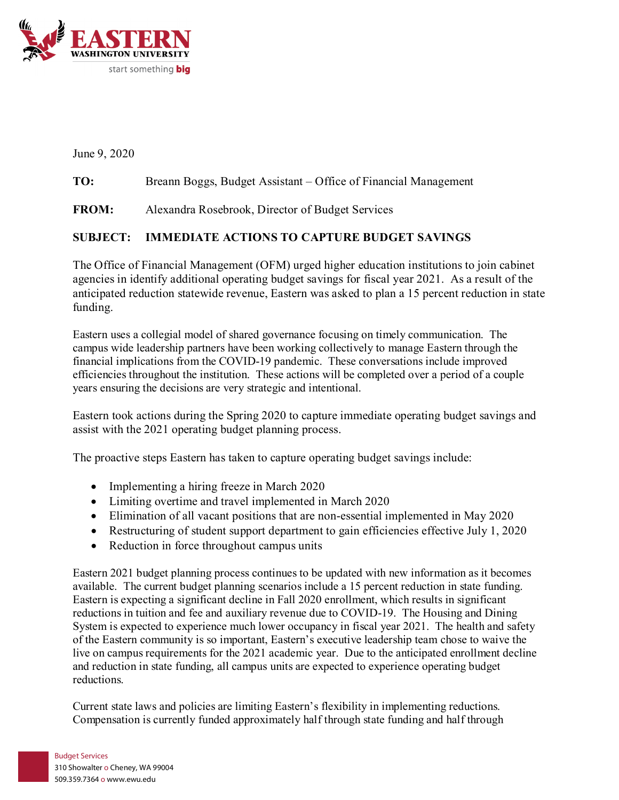

June 9, 2020

## **TO:** Breann Boggs, Budget Assistant – Office of Financial Management

**FROM:** Alexandra Rosebrook, Director of Budget Services

## **SUBJECT: IMMEDIATE ACTIONS TO CAPTURE BUDGET SAVINGS**

The Office of Financial Management (OFM) urged higher education institutions to join cabinet agencies in identify additional operating budget savings for fiscal year 2021. As a result of the anticipated reduction statewide revenue, Eastern was asked to plan a 15 percent reduction in state funding.

Eastern uses a collegial model of shared governance focusing on timely communication. The campus wide leadership partners have been working collectively to manage Eastern through the financial implications from the COVID-19 pandemic. These conversations include improved efficiencies throughout the institution. These actions will be completed over a period of a couple years ensuring the decisions are very strategic and intentional.

Eastern took actions during the Spring 2020 to capture immediate operating budget savings and assist with the 2021 operating budget planning process.

The proactive steps Eastern has taken to capture operating budget savings include:

- Implementing a hiring freeze in March 2020
- Limiting overtime and travel implemented in March 2020
- Elimination of all vacant positions that are non-essential implemented in May 2020
- Restructuring of student support department to gain efficiencies effective July 1, 2020
- Reduction in force throughout campus units

Eastern 2021 budget planning process continues to be updated with new information as it becomes available. The current budget planning scenarios include a 15 percent reduction in state funding. Eastern is expecting a significant decline in Fall 2020 enrollment, which results in significant reductions in tuition and fee and auxiliary revenue due to COVID-19. The Housing and Dining System is expected to experience much lower occupancy in fiscal year 2021. The health and safety of the Eastern community is so important, Eastern's executive leadership team chose to waive the live on campus requirements for the 2021 academic year. Due to the anticipated enrollment decline and reduction in state funding, all campus units are expected to experience operating budget reductions.

Current state laws and policies are limiting Eastern's flexibility in implementing reductions. Compensation is currently funded approximately half through state funding and half through

## Budget Services